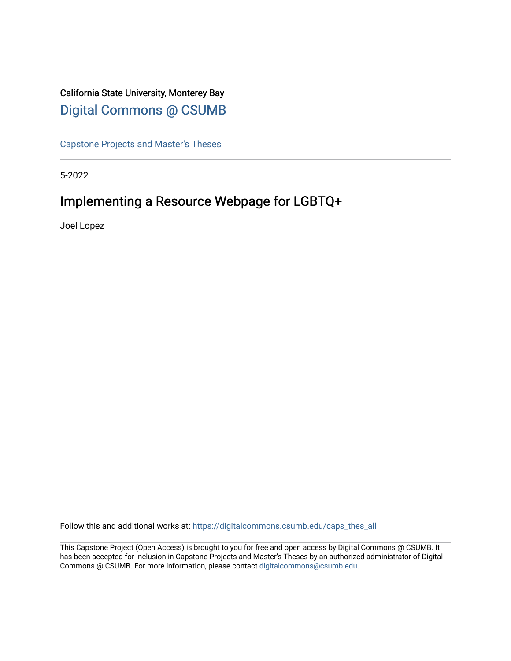# California State University, Monterey Bay [Digital Commons @ CSUMB](https://digitalcommons.csumb.edu/)

[Capstone Projects and Master's Theses](https://digitalcommons.csumb.edu/caps_thes_all)

5-2022

# Implementing a Resource Webpage for LGBTQ+

Joel Lopez

Follow this and additional works at: [https://digitalcommons.csumb.edu/caps\\_thes\\_all](https://digitalcommons.csumb.edu/caps_thes_all?utm_source=digitalcommons.csumb.edu%2Fcaps_thes_all%2F1271&utm_medium=PDF&utm_campaign=PDFCoverPages)

This Capstone Project (Open Access) is brought to you for free and open access by Digital Commons @ CSUMB. It has been accepted for inclusion in Capstone Projects and Master's Theses by an authorized administrator of Digital Commons @ CSUMB. For more information, please contact [digitalcommons@csumb.edu](mailto:digitalcommons@csumb.edu).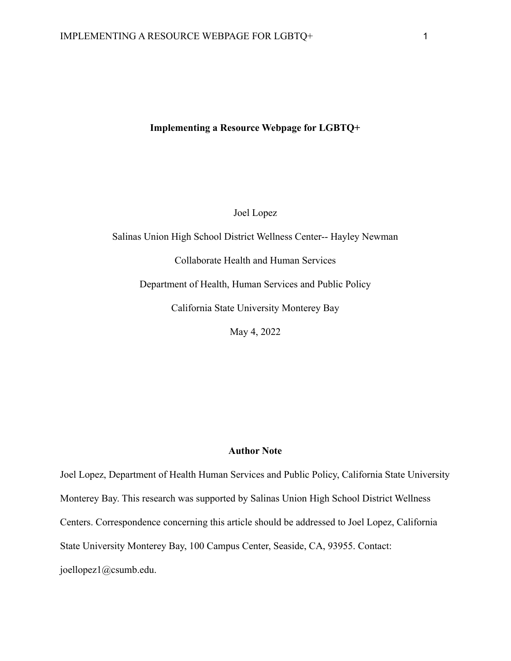#### **Implementing a Resource Webpage for LGBTQ+**

Joel Lopez

Salinas Union High School District Wellness Center-- Hayley Newman Collaborate Health and Human Services Department of Health, Human Services and Public Policy California State University Monterey Bay May 4, 2022

## **Author Note**

Joel Lopez, Department of Health Human Services and Public Policy, California State University Monterey Bay. This research was supported by Salinas Union High School District Wellness Centers. Correspondence concerning this article should be addressed to Joel Lopez, California State University Monterey Bay, 100 Campus Center, Seaside, CA, 93955. Contact: joellopez1@csumb.edu.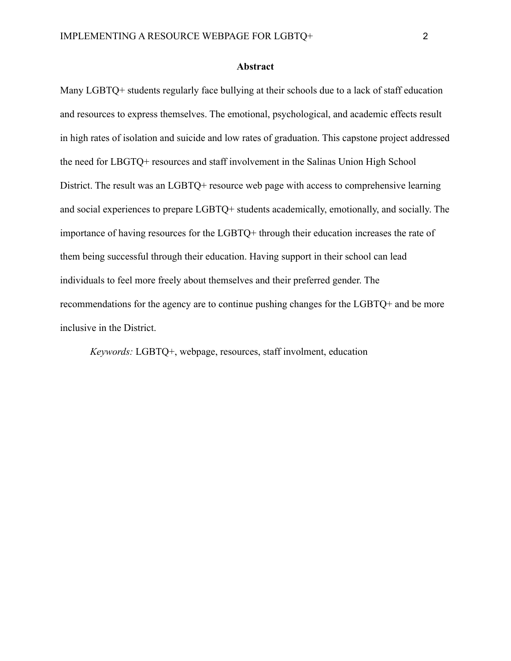#### **Abstract**

Many LGBTQ+ students regularly face bullying at their schools due to a lack of staff education and resources to express themselves. The emotional, psychological, and academic effects result in high rates of isolation and suicide and low rates of graduation. This capstone project addressed the need for LBGTQ+ resources and staff involvement in the Salinas Union High School District. The result was an LGBTO+ resource web page with access to comprehensive learning and social experiences to prepare LGBTQ+ students academically, emotionally, and socially. The importance of having resources for the LGBTQ+ through their education increases the rate of them being successful through their education. Having support in their school can lead individuals to feel more freely about themselves and their preferred gender. The recommendations for the agency are to continue pushing changes for the LGBTQ+ and be more inclusive in the District.

*Keywords:* LGBTQ+, webpage, resources, staff involment, education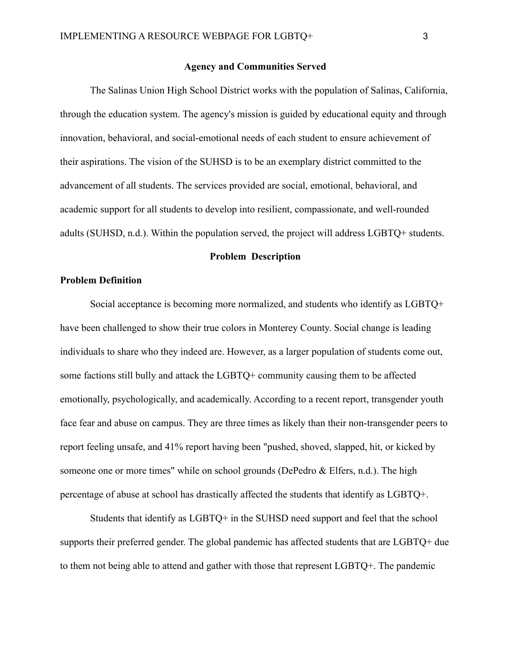#### **Agency and Communities Served**

The Salinas Union High School District works with the population of Salinas, California, through the education system. The agency's mission is guided by educational equity and through innovation, behavioral, and social-emotional needs of each student to ensure achievement of their aspirations. The vision of the SUHSD is to be an exemplary district committed to the advancement of all students. The services provided are social, emotional, behavioral, and academic support for all students to develop into resilient, compassionate, and well-rounded adults (SUHSD, n.d.). Within the population served, the project will address LGBTQ+ students.

#### **Problem Description**

# **Problem Definition**

Social acceptance is becoming more normalized, and students who identify as LGBTQ+ have been challenged to show their true colors in Monterey County. Social change is leading individuals to share who they indeed are. However, as a larger population of students come out, some factions still bully and attack the LGBTQ+ community causing them to be affected emotionally, psychologically, and academically. According to a recent report, transgender youth face fear and abuse on campus. They are three times as likely than their non-transgender peers to report feeling unsafe, and 41% report having been "pushed, shoved, slapped, hit, or kicked by someone one or more times" while on school grounds (DePedro & Elfers, n.d.). The high percentage of abuse at school has drastically affected the students that identify as LGBTQ+.

Students that identify as LGBTQ+ in the SUHSD need support and feel that the school supports their preferred gender. The global pandemic has affected students that are LGBTQ+ due to them not being able to attend and gather with those that represent LGBTQ+. The pandemic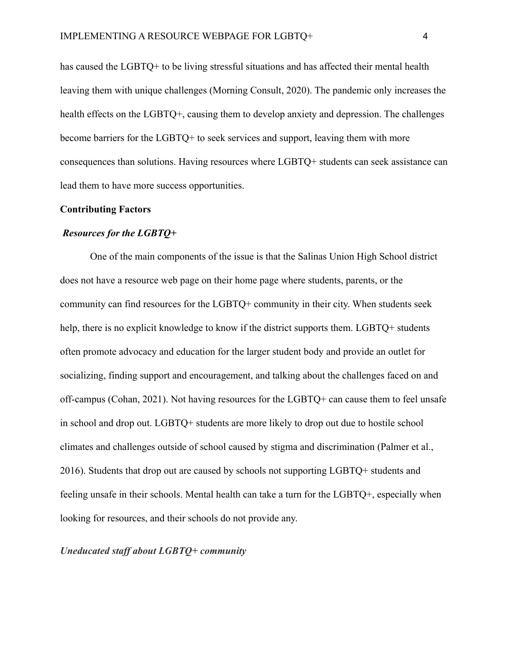has caused the LGBTQ+ to be living stressful situations and has affected their mental health leaving them with unique challenges (Morning Consult, 2020). The pandemic only increases the health effects on the LGBTQ+, causing them to develop anxiety and depression. The challenges become barriers for the LGBTQ+ to seek services and support, leaving them with more consequences than solutions. Having resources where LGBTQ+ students can seek assistance can lead them to have more success opportunities.

#### **Contributing Factors**

#### *Resources for the LGBTQ+*

One of the main components of the issue is that the Salinas Union High School district does not have a resource web page on their home page where students, parents, or the community can find resources for the LGBTQ+ community in their city. When students seek help, there is no explicit knowledge to know if the district supports them. LGBTO+ students often promote advocacy and education for the larger student body and provide an outlet for socializing, finding support and encouragement, and talking about the challenges faced on and off-campus (Cohan, 2021). Not having resources for the LGBTQ+ can cause them to feel unsafe in school and drop out. LGBTQ+ students are more likely to drop out due to hostile school climates and challenges outside of school caused by stigma and discrimination (Palmer et al., 2016). Students that drop out are caused by schools not supporting LGBTQ+ students and feeling unsafe in their schools. Mental health can take a turn for the LGBTQ+, especially when looking for resources, and their schools do not provide any.

*Uneducated staff about LGBTQ+ community*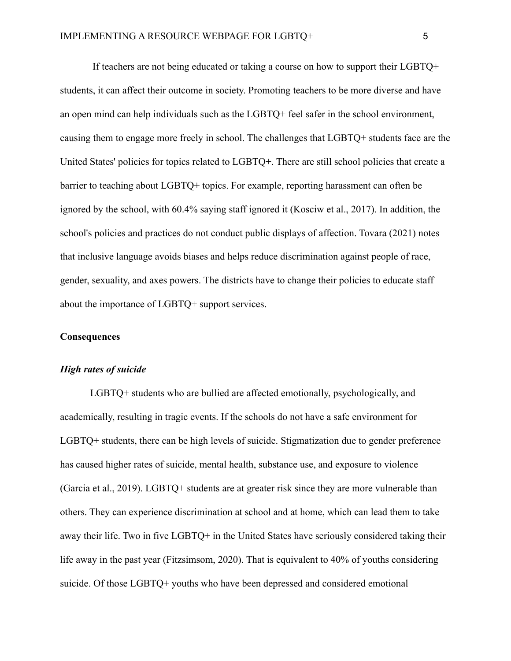If teachers are not being educated or taking a course on how to support their LGBTQ+ students, it can affect their outcome in society. Promoting teachers to be more diverse and have an open mind can help individuals such as the LGBTQ+ feel safer in the school environment, causing them to engage more freely in school. The challenges that LGBTQ+ students face are the United States' policies for topics related to LGBTQ+. There are still school policies that create a barrier to teaching about LGBTQ+ topics. For example, reporting harassment can often be ignored by the school, with 60.4% saying staff ignored it (Kosciw et al., 2017). In addition, the school's policies and practices do not conduct public displays of affection. Tovara (2021) notes that inclusive language avoids biases and helps reduce discrimination against people of race, gender, sexuality, and axes powers. The districts have to change their policies to educate staff about the importance of LGBTQ+ support services.

#### **Consequences**

## *High rates of suicide*

LGBTQ+ students who are bullied are affected emotionally, psychologically, and academically, resulting in tragic events. If the schools do not have a safe environment for LGBTQ+ students, there can be high levels of suicide. Stigmatization due to gender preference has caused higher rates of suicide, mental health, substance use, and exposure to violence (Garcia et al., 2019). LGBTQ+ students are at greater risk since they are more vulnerable than others. They can experience discrimination at school and at home, which can lead them to take away their life. Two in five LGBTQ+ in the United States have seriously considered taking their life away in the past year (Fitzsimsom, 2020). That is equivalent to 40% of youths considering suicide. Of those LGBTQ+ youths who have been depressed and considered emotional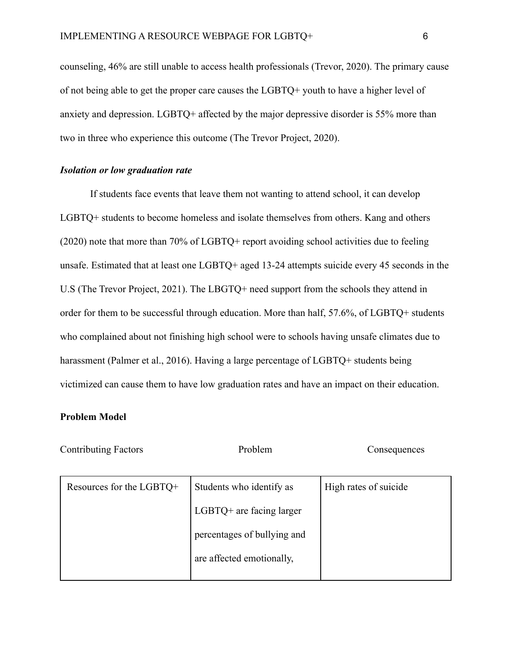counseling, 46% are still unable to access health professionals (Trevor, 2020). The primary cause of not being able to get the proper care causes the LGBTQ+ youth to have a higher level of anxiety and depression. LGBTQ+ affected by the major depressive disorder is 55% more than two in three who experience this outcome (The Trevor Project, 2020).

# *Isolation or low graduation rate*

If students face events that leave them not wanting to attend school, it can develop LGBTQ+ students to become homeless and isolate themselves from others. Kang and others (2020) note that more than 70% of LGBTQ+ report avoiding school activities due to feeling unsafe. Estimated that at least one LGBTQ+ aged 13-24 attempts suicide every 45 seconds in the U.S (The Trevor Project, 2021). The LBGTQ+ need support from the schools they attend in order for them to be successful through education. More than half, 57.6%, of LGBTQ+ students who complained about not finishing high school were to schools having unsafe climates due to harassment (Palmer et al., 2016). Having a large percentage of LGBTQ+ students being victimized can cause them to have low graduation rates and have an impact on their education.

#### **Problem Model**

| <b>Contributing Factors</b> | Problem                     | Consequences          |  |  |  |
|-----------------------------|-----------------------------|-----------------------|--|--|--|
| Resources for the LGBTQ+    | Students who identify as    | High rates of suicide |  |  |  |
|                             | $LGBTQ+$ are facing larger  |                       |  |  |  |
|                             | percentages of bullying and |                       |  |  |  |
|                             | are affected emotionally,   |                       |  |  |  |
|                             |                             |                       |  |  |  |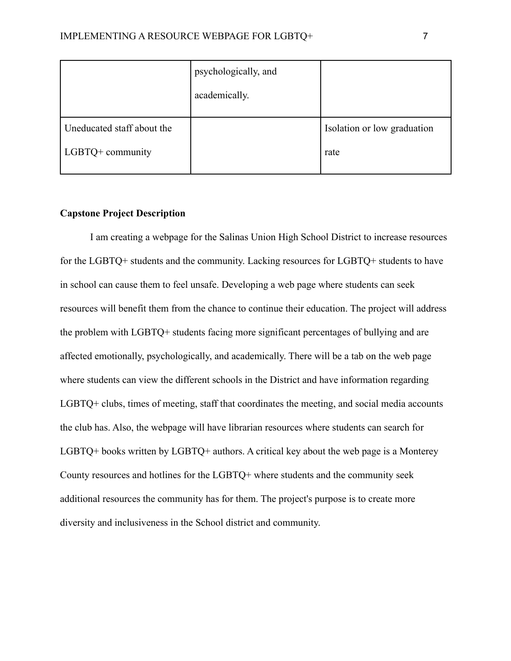|                            | psychologically, and |                             |
|----------------------------|----------------------|-----------------------------|
|                            | academically.        |                             |
| Uneducated staff about the |                      | Isolation or low graduation |
| LGBTQ+ community           |                      | rate                        |

# **Capstone Project Description**

I am creating a webpage for the Salinas Union High School District to increase resources for the LGBTQ+ students and the community. Lacking resources for LGBTQ+ students to have in school can cause them to feel unsafe. Developing a web page where students can seek resources will benefit them from the chance to continue their education. The project will address the problem with LGBTQ+ students facing more significant percentages of bullying and are affected emotionally, psychologically, and academically. There will be a tab on the web page where students can view the different schools in the District and have information regarding LGBTQ+ clubs, times of meeting, staff that coordinates the meeting, and social media accounts the club has. Also, the webpage will have librarian resources where students can search for LGBTQ+ books written by LGBTQ+ authors. A critical key about the web page is a Monterey County resources and hotlines for the LGBTQ+ where students and the community seek additional resources the community has for them. The project's purpose is to create more diversity and inclusiveness in the School district and community.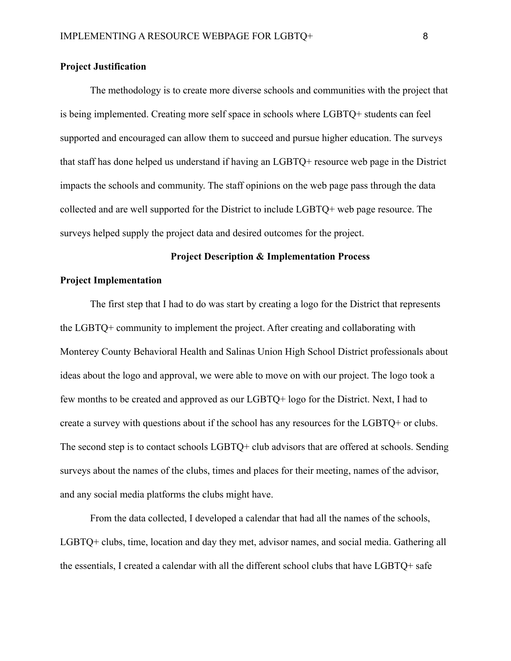#### **Project Justification**

The methodology is to create more diverse schools and communities with the project that is being implemented. Creating more self space in schools where LGBTQ+ students can feel supported and encouraged can allow them to succeed and pursue higher education. The surveys that staff has done helped us understand if having an LGBTQ+ resource web page in the District impacts the schools and community. The staff opinions on the web page pass through the data collected and are well supported for the District to include LGBTQ+ web page resource. The surveys helped supply the project data and desired outcomes for the project.

#### **Project Description & Implementation Process**

#### **Project Implementation**

The first step that I had to do was start by creating a logo for the District that represents the LGBTQ+ community to implement the project. After creating and collaborating with Monterey County Behavioral Health and Salinas Union High School District professionals about ideas about the logo and approval, we were able to move on with our project. The logo took a few months to be created and approved as our LGBTQ+ logo for the District. Next, I had to create a survey with questions about if the school has any resources for the LGBTQ+ or clubs. The second step is to contact schools LGBTQ+ club advisors that are offered at schools. Sending surveys about the names of the clubs, times and places for their meeting, names of the advisor, and any social media platforms the clubs might have.

From the data collected, I developed a calendar that had all the names of the schools, LGBTQ+ clubs, time, location and day they met, advisor names, and social media. Gathering all the essentials, I created a calendar with all the different school clubs that have LGBTQ+ safe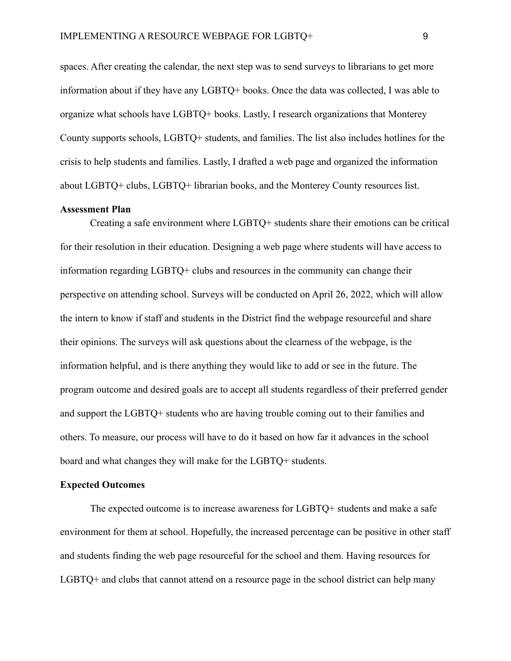spaces. After creating the calendar, the next step was to send surveys to librarians to get more information about if they have any LGBTQ+ books. Once the data was collected, I was able to organize what schools have LGBTQ+ books. Lastly, I research organizations that Monterey County supports schools, LGBTQ+ students, and families. The list also includes hotlines for the crisis to help students and families. Lastly, I drafted a web page and organized the information about LGBTQ+ clubs, LGBTQ+ librarian books, and the Monterey County resources list.

## **Assessment Plan**

Creating a safe environment where LGBTQ+ students share their emotions can be critical for their resolution in their education. Designing a web page where students will have access to information regarding LGBTQ+ clubs and resources in the community can change their perspective on attending school. Surveys will be conducted on April 26, 2022, which will allow the intern to know if staff and students in the District find the webpage resourceful and share their opinions. The surveys will ask questions about the clearness of the webpage, is the information helpful, and is there anything they would like to add or see in the future. The program outcome and desired goals are to accept all students regardless of their preferred gender and support the LGBTQ+ students who are having trouble coming out to their families and others. To measure, our process will have to do it based on how far it advances in the school board and what changes they will make for the LGBTQ+ students.

#### **Expected Outcomes**

The expected outcome is to increase awareness for LGBTQ+ students and make a safe environment for them at school. Hopefully, the increased percentage can be positive in other staff and students finding the web page resourceful for the school and them. Having resources for LGBTQ+ and clubs that cannot attend on a resource page in the school district can help many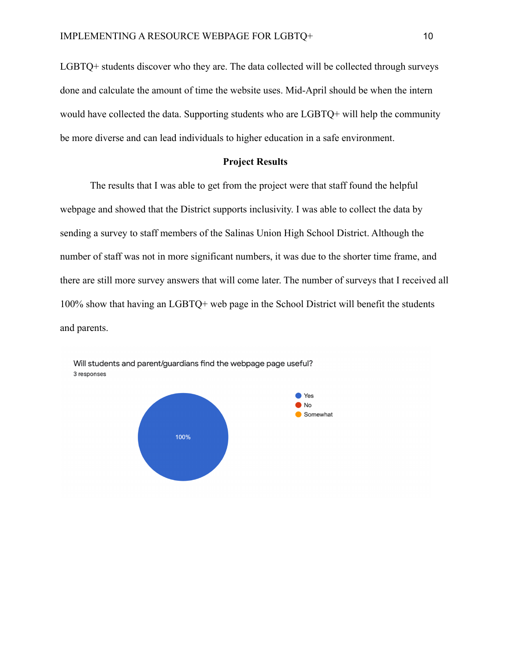LGBTQ+ students discover who they are. The data collected will be collected through surveys done and calculate the amount of time the website uses. Mid-April should be when the intern would have collected the data. Supporting students who are LGBTQ+ will help the community be more diverse and can lead individuals to higher education in a safe environment.

# **Project Results**

The results that I was able to get from the project were that staff found the helpful webpage and showed that the District supports inclusivity. I was able to collect the data by sending a survey to staff members of the Salinas Union High School District. Although the number of staff was not in more significant numbers, it was due to the shorter time frame, and there are still more survey answers that will come later. The number of surveys that I received all 100% show that having an LGBTQ+ web page in the School District will benefit the students and parents.



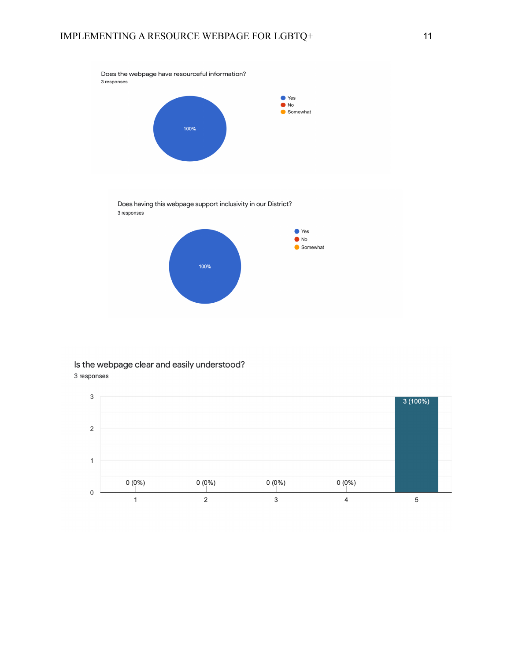

Does having this webpage support inclusivity in our District? 3 responses



## Is the webpage clear and easily understood? 3 responses

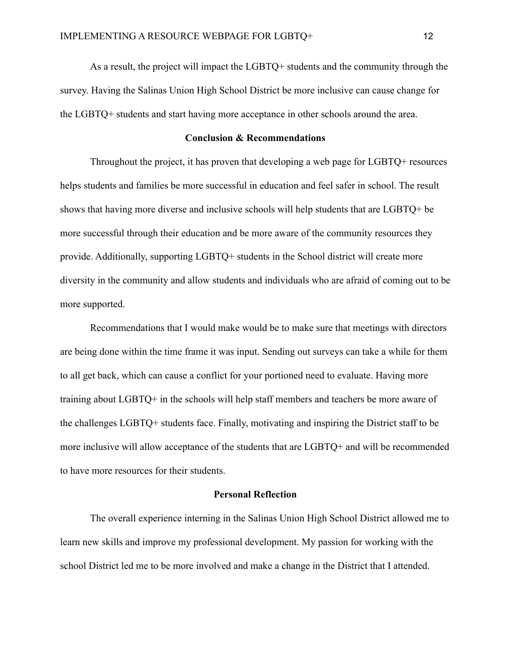As a result, the project will impact the LGBTQ+ students and the community through the survey. Having the Salinas Union High School District be more inclusive can cause change for the LGBTQ+ students and start having more acceptance in other schools around the area.

# **Conclusion & Recommendations**

Throughout the project, it has proven that developing a web page for LGBTQ+ resources helps students and families be more successful in education and feel safer in school. The result shows that having more diverse and inclusive schools will help students that are LGBTQ+ be more successful through their education and be more aware of the community resources they provide. Additionally, supporting LGBTQ+ students in the School district will create more diversity in the community and allow students and individuals who are afraid of coming out to be more supported.

Recommendations that I would make would be to make sure that meetings with directors are being done within the time frame it was input. Sending out surveys can take a while for them to all get back, which can cause a conflict for your portioned need to evaluate. Having more training about LGBTQ+ in the schools will help staff members and teachers be more aware of the challenges LGBTQ+ students face. Finally, motivating and inspiring the District staff to be more inclusive will allow acceptance of the students that are LGBTQ+ and will be recommended to have more resources for their students.

#### **Personal Reflection**

The overall experience interning in the Salinas Union High School District allowed me to learn new skills and improve my professional development. My passion for working with the school District led me to be more involved and make a change in the District that I attended.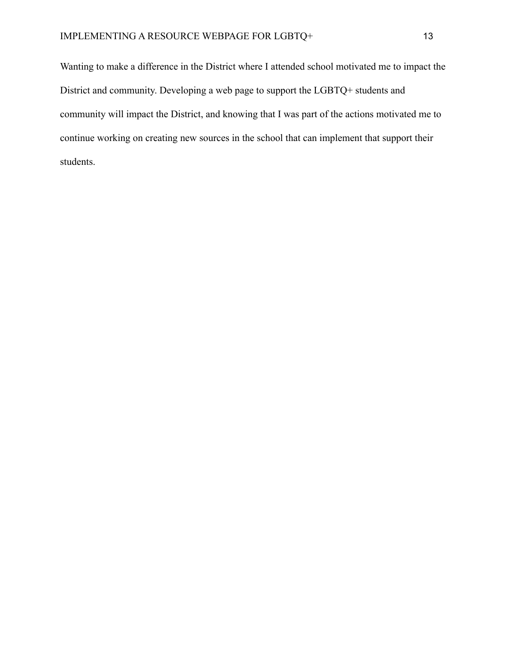Wanting to make a difference in the District where I attended school motivated me to impact the District and community. Developing a web page to support the LGBTQ+ students and community will impact the District, and knowing that I was part of the actions motivated me to continue working on creating new sources in the school that can implement that support their students.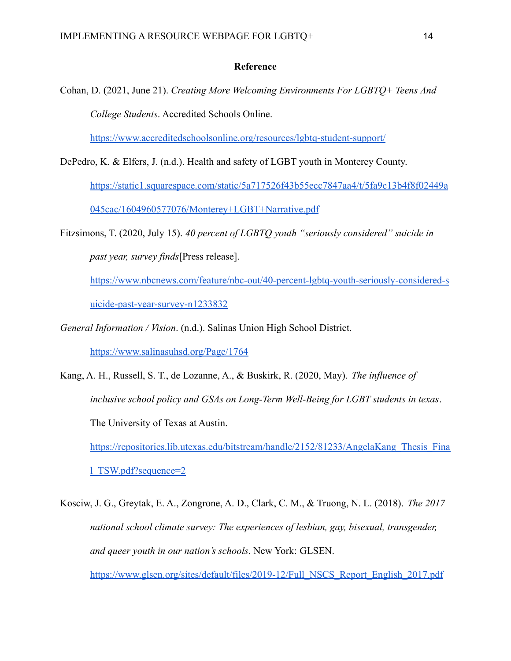#### **Reference**

Cohan, D. (2021, June 21). *Creating More Welcoming Environments For LGBTQ+ Teens And College Students*. Accredited Schools Online.

<https://www.accreditedschoolsonline.org/resources/lgbtq-student-support/>

- DePedro, K. & Elfers, J. (n.d.). Health and safety of LGBT youth in Monterey County. [https://static1.squarespace.com/static/5a717526f43b55ecc7847aa4/t/5fa9c13b4f8f02449a](https://static1.squarespace.com/static/5a717526f43b55ecc7847aa4/t/5fa9c13b4f8f02449a045cac/1604960577076/Monterey+LGBT+Narrative.pdf) [045cac/1604960577076/Monterey+LGBT+Narrative.pdf](https://static1.squarespace.com/static/5a717526f43b55ecc7847aa4/t/5fa9c13b4f8f02449a045cac/1604960577076/Monterey+LGBT+Narrative.pdf)
- Fitzsimons, T. (2020, July 15). *40 percent of LGBTQ youth "seriously considered" suicide in past year, survey finds*[Press release].

[https://www.nbcnews.com/feature/nbc-out/40-percent-lgbtq-youth-seriously-considered-s](https://www.nbcnews.com/feature/nbc-out/40-percent-lgbtq-youth-seriously-considered-suicide-past-year-survey-n1233832) [uicide-past-year-survey-n1233832](https://www.nbcnews.com/feature/nbc-out/40-percent-lgbtq-youth-seriously-considered-suicide-past-year-survey-n1233832)

- *General Information / Vision*. (n.d.). Salinas Union High School District. <https://www.salinasuhsd.org/Page/1764>
- Kang, A. H., Russell, S. T., de Lozanne, A., & Buskirk, R. (2020, May). *The influence of inclusive school policy and GSAs on Long-Term Well-Being for LGBT students in texas*. The University of Texas at Austin. https://repositories.lib.utexas.edu/bitstream/handle/2152/81233/AngelaKang Thesis Fina [l\\_TSW.pdf?sequence=2](https://repositories.lib.utexas.edu/bitstream/handle/2152/81233/AngelaKang_Thesis_Final_TSW.pdf?sequence=2)
- Kosciw, J. G., Greytak, E. A., Zongrone, A. D., Clark, C. M., & Truong, N. L. (2018). *The 2017 national school climate survey: The experiences of lesbian, gay, bisexual, transgender, and queer youth in our nation's schools*. New York: GLSEN. [https://www.glsen.org/sites/default/files/2019-12/Full\\_NSCS\\_Report\\_English\\_2017.pdf](https://www.glsen.org/sites/default/files/2019-12/Full_NSCS_Report_English_2017.pdf)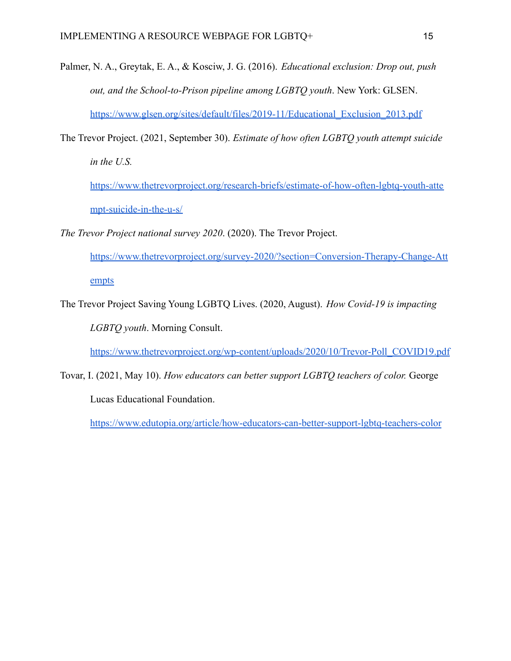- Palmer, N. A., Greytak, E. A., & Kosciw, J. G. (2016). *Educational exclusion: Drop out, push out, and the School-to-Prison pipeline among LGBTQ youth*. New York: GLSEN. [https://www.glsen.org/sites/default/files/2019-11/Educational\\_Exclusion\\_2013.pdf](https://www.glsen.org/sites/default/files/2019-11/Educational_Exclusion_2013.pdf)
- The Trevor Project. (2021, September 30). *Estimate of how often LGBTQ youth attempt suicide in the U.S.*
	- [https://www.thetrevorproject.org/research-briefs/estimate-of-how-often-lgbtq-youth-atte](https://www.thetrevorproject.org/research-briefs/estimate-of-how-often-lgbtq-youth-attempt-suicide-in-the-u-s/) [mpt-suicide-in-the-u-s/](https://www.thetrevorproject.org/research-briefs/estimate-of-how-often-lgbtq-youth-attempt-suicide-in-the-u-s/)
- *The Trevor Project national survey 2020*. (2020). The Trevor Project.
	- [https://www.thetrevorproject.org/survey-2020/?section=Conversion-Therapy-Change-Att](https://www.thetrevorproject.org/survey-2020/?section=Conversion-Therapy-Change-Attempts) [empts](https://www.thetrevorproject.org/survey-2020/?section=Conversion-Therapy-Change-Attempts)
- The Trevor Project Saving Young LGBTQ Lives. (2020, August). *How Covid-19 is impacting*

*LGBTQ youth*. Morning Consult.

[https://www.thetrevorproject.org/wp-content/uploads/2020/10/Trevor-Poll\\_COVID19.pdf](https://www.thetrevorproject.org/wp-content/uploads/2020/10/Trevor-Poll_COVID19.pdf)

Tovar, I. (2021, May 10). *How educators can better support LGBTQ teachers of color.* George Lucas Educational Foundation.

<https://www.edutopia.org/article/how-educators-can-better-support-lgbtq-teachers-color>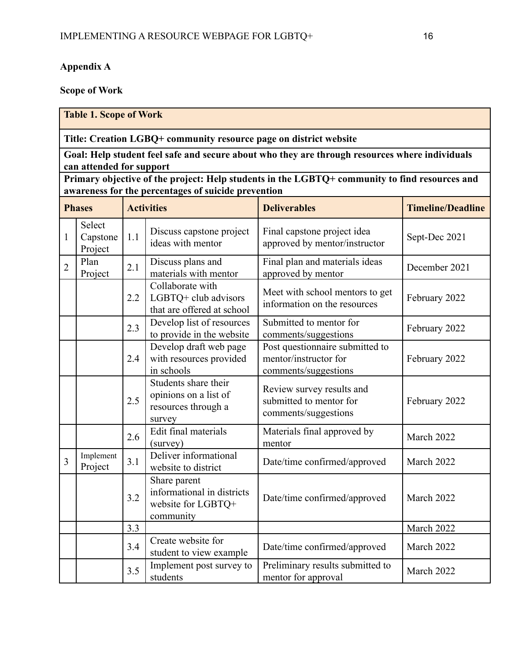# **Appendix A**

# **Scope of Work**

|                                                                                                                           | <b>Table 1. Scope of Work</b>                       |     |                                                                                |                                                                                  |               |  |  |  |
|---------------------------------------------------------------------------------------------------------------------------|-----------------------------------------------------|-----|--------------------------------------------------------------------------------|----------------------------------------------------------------------------------|---------------|--|--|--|
| Title: Creation LGBQ+ community resource page on district website                                                         |                                                     |     |                                                                                |                                                                                  |               |  |  |  |
| Goal: Help student feel safe and secure about who they are through resources where individuals                            |                                                     |     |                                                                                |                                                                                  |               |  |  |  |
| can attended for support<br>Primary objective of the project: Help students in the LGBTQ+ community to find resources and |                                                     |     |                                                                                |                                                                                  |               |  |  |  |
|                                                                                                                           | awareness for the percentages of suicide prevention |     |                                                                                |                                                                                  |               |  |  |  |
| <b>Timeline/Deadline</b><br><b>Deliverables</b><br><b>Phases</b><br><b>Activities</b>                                     |                                                     |     |                                                                                |                                                                                  |               |  |  |  |
| 1                                                                                                                         | Select<br>Capstone<br>Project                       | 1.1 | Discuss capstone project<br>ideas with mentor                                  | Final capstone project idea<br>approved by mentor/instructor                     | Sept-Dec 2021 |  |  |  |
| $\overline{2}$                                                                                                            | Plan<br>Project                                     | 2.1 | Discuss plans and<br>materials with mentor                                     | Final plan and materials ideas<br>approved by mentor                             | December 2021 |  |  |  |
|                                                                                                                           |                                                     | 2.2 | Collaborate with<br>LGBTQ+ club advisors<br>that are offered at school         | Meet with school mentors to get<br>information on the resources                  | February 2022 |  |  |  |
|                                                                                                                           |                                                     | 2.3 | Develop list of resources<br>to provide in the website                         | Submitted to mentor for<br>comments/suggestions                                  | February 2022 |  |  |  |
|                                                                                                                           |                                                     | 2.4 | Develop draft web page<br>with resources provided<br>in schools                | Post questionnaire submitted to<br>mentor/instructor for<br>comments/suggestions | February 2022 |  |  |  |
|                                                                                                                           |                                                     | 2.5 | Students share their<br>opinions on a list of<br>resources through a<br>survey | Review survey results and<br>submitted to mentor for<br>comments/suggestions     | February 2022 |  |  |  |
|                                                                                                                           |                                                     | 2.6 | Edit final materials<br>(survey)                                               | Materials final approved by<br>mentor                                            | March 2022    |  |  |  |
| 3                                                                                                                         | Implement<br>Project                                | 3.1 | Deliver informational<br>website to district                                   | Date/time confirmed/approved                                                     | March 2022    |  |  |  |
|                                                                                                                           |                                                     | 3.2 | Share parent<br>informational in districts<br>website for LGBTQ+<br>community  | Date/time confirmed/approved                                                     | March 2022    |  |  |  |
|                                                                                                                           |                                                     | 3.3 |                                                                                |                                                                                  |               |  |  |  |
|                                                                                                                           |                                                     | 3.4 | Create website for<br>student to view example                                  | Date/time confirmed/approved                                                     | March 2022    |  |  |  |
|                                                                                                                           |                                                     | 3.5 | Implement post survey to<br>students                                           | Preliminary results submitted to<br>mentor for approval                          | March 2022    |  |  |  |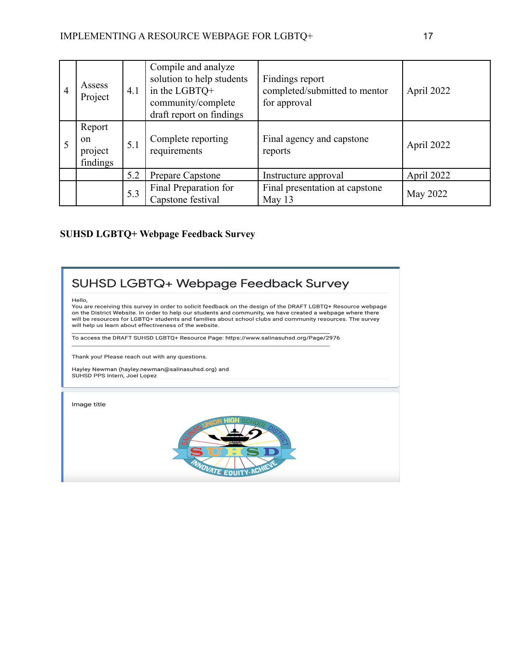| $\overline{4}$ | Assess<br>Project                              | 4.1 | Compile and analyze<br>solution to help students<br>in the LGBTQ+<br>community/complete<br>draft report on findings | Findings report<br>completed/submitted to mentor<br>for approval | April 2022 |
|----------------|------------------------------------------------|-----|---------------------------------------------------------------------------------------------------------------------|------------------------------------------------------------------|------------|
|                | Report<br><sub>on</sub><br>project<br>findings | 5.1 | Complete reporting<br>requirements                                                                                  | Final agency and capstone<br>reports                             | April 2022 |
|                |                                                | 5.2 | Prepare Capstone                                                                                                    | Instructure approval                                             | April 2022 |
|                |                                                | 5.3 | Final Preparation for<br>Capstone festival                                                                          | Final presentation at capstone<br>May 13                         | May 2022   |

# **SUHSD LGBTQ+ Webpage Feedback Survey**

# SUHSD LGBTQ+ Webpage Feedback Survey

Hello,

You are receiving this survey in order to solicit feedback on the design of the DRAFT LGBTQ+ Resource webpage on the District Website. In order to help our students and community, we have created a webpage where there will be resources for LGBTQ+ students and families about school clubs and community resources. The survey will help us learn about effectiveness of the website.

To access the DRAFT SUHSD LGBTQ+ Resource Page: https://www.salinasuhsd.org/Page/2976

Thank you! Please reach out with any questions.

Hayley Newman (hayley.newman@salinasuhsd.org) and<br>SUHSD PPS Intern, Joel Lopez

Image title